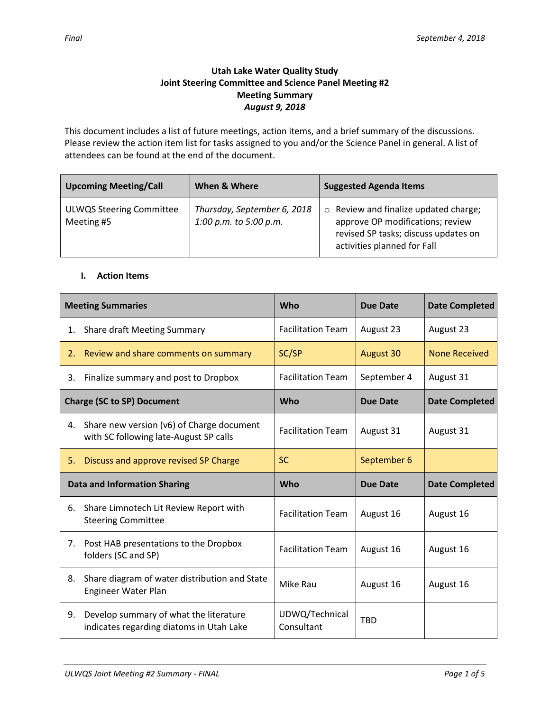# **Utah Lake Water Quality Study Joint Steering Committee and Science Panel Meeting #2 Meeting Summary** *August 9, 2018*

This document includes a list of future meetings, action items, and a brief summary of the discussions. Please review the action item list for tasks assigned to you and/or the Science Panel in general. A list of attendees can be found at the end of the document.

| <b>Upcoming Meeting/Call</b>                  | When & Where                                          | <b>Suggested Agenda Items</b>                                                                                                                          |
|-----------------------------------------------|-------------------------------------------------------|--------------------------------------------------------------------------------------------------------------------------------------------------------|
| <b>ULWQS Steering Committee</b><br>Meeting #5 | Thursday, September 6, 2018<br>1:00 p.m. to 5:00 p.m. | $\circ$ Review and finalize updated charge;<br>approve OP modifications; review<br>revised SP tasks; discuss updates on<br>activities planned for Fall |

#### **I. Action Items**

| <b>Meeting Summaries</b>          |                                                                                     | Who                      | <b>Due Date</b>  | <b>Date Completed</b> |
|-----------------------------------|-------------------------------------------------------------------------------------|--------------------------|------------------|-----------------------|
| 1.                                | <b>Share draft Meeting Summary</b>                                                  | <b>Facilitation Team</b> | August 23        | August 23             |
| 2.                                | Review and share comments on summary                                                | SC/SP                    | <b>August 30</b> | <b>None Received</b>  |
| 3.                                | Finalize summary and post to Dropbox                                                | <b>Facilitation Team</b> | September 4      | August 31             |
| <b>Charge (SC to SP) Document</b> |                                                                                     | <b>Who</b>               | <b>Due Date</b>  | <b>Date Completed</b> |
| 4.                                | Share new version (v6) of Charge document<br>with SC following late-August SP calls | <b>Facilitation Team</b> | August 31        | August 31             |
| 5.                                | Discuss and approve revised SP Charge                                               | <b>SC</b>                | September 6      |                       |
|                                   | <b>Data and Information Sharing</b>                                                 | Who                      | <b>Due Date</b>  | <b>Date Completed</b> |
| 6.                                | Share Limnotech Lit Review Report with<br><b>Steering Committee</b>                 | <b>Facilitation Team</b> | August 16        | August 16             |
| 7.                                | Post HAB presentations to the Dropbox<br>folders (SC and SP)                        | <b>Facilitation Team</b> | August 16        | August 16             |
| 8.                                | Share diagram of water distribution and State<br>Engineer Water Plan                | Mike Rau                 | August 16        | August 16             |
| 9.                                |                                                                                     |                          |                  |                       |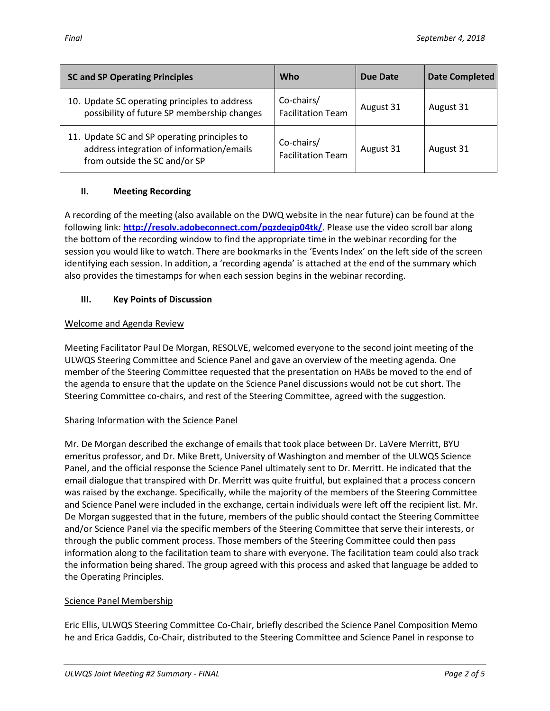| <b>SC and SP Operating Principles</b>                                                                                      | <b>Who</b>                             | Due Date  | Date Completed |
|----------------------------------------------------------------------------------------------------------------------------|----------------------------------------|-----------|----------------|
| 10. Update SC operating principles to address<br>possibility of future SP membership changes                               | Co-chairs/<br><b>Facilitation Team</b> | August 31 | August 31      |
| 11. Update SC and SP operating principles to<br>address integration of information/emails<br>from outside the SC and/or SP | Co-chairs/<br><b>Facilitation Team</b> | August 31 | August 31      |

## **II. Meeting Recording**

A recording of the meeting (also available on the DWQ website in the near future) can be found at the following link: **<http://resolv.adobeconnect.com/pqzdeqip04tk/>**. Please use the video scroll bar along the bottom of the recording window to find the appropriate time in the webinar recording for the session you would like to watch. There are bookmarks in the 'Events Index' on the left side of the screen identifying each session. In addition, a 'recording agenda' is attached at the end of the summary which also provides the timestamps for when each session begins in the webinar recording.

## **III. Key Points of Discussion**

#### Welcome and Agenda Review

Meeting Facilitator Paul De Morgan, RESOLVE, welcomed everyone to the second joint meeting of the ULWQS Steering Committee and Science Panel and gave an overview of the meeting agenda. One member of the Steering Committee requested that the presentation on HABs be moved to the end of the agenda to ensure that the update on the Science Panel discussions would not be cut short. The Steering Committee co-chairs, and rest of the Steering Committee, agreed with the suggestion.

## Sharing Information with the Science Panel

Mr. De Morgan described the exchange of emails that took place between Dr. LaVere Merritt, BYU emeritus professor, and Dr. Mike Brett, University of Washington and member of the ULWQS Science Panel, and the official response the Science Panel ultimately sent to Dr. Merritt. He indicated that the email dialogue that transpired with Dr. Merritt was quite fruitful, but explained that a process concern was raised by the exchange. Specifically, while the majority of the members of the Steering Committee and Science Panel were included in the exchange, certain individuals were left off the recipient list. Mr. De Morgan suggested that in the future, members of the public should contact the Steering Committee and/or Science Panel via the specific members of the Steering Committee that serve their interests, or through the public comment process. Those members of the Steering Committee could then pass information along to the facilitation team to share with everyone. The facilitation team could also track the information being shared. The group agreed with this process and asked that language be added to the Operating Principles.

## Science Panel Membership

Eric Ellis, ULWQS Steering Committee Co-Chair, briefly described the Science Panel Composition Memo he and Erica Gaddis, Co-Chair, distributed to the Steering Committee and Science Panel in response to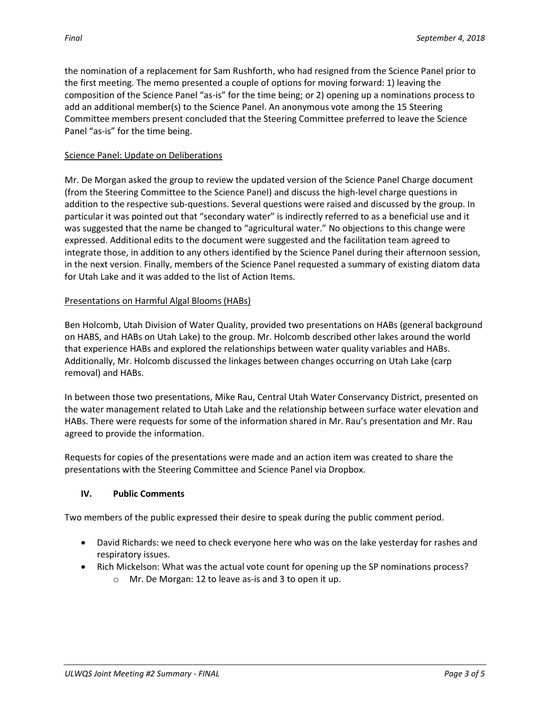the nomination of a replacement for Sam Rushforth, who had resigned from the Science Panel prior to the first meeting. The memo presented a couple of options for moving forward: 1) leaving the composition of the Science Panel "as-is" for the time being; or 2) opening up a nominations process to add an additional member(s) to the Science Panel. An anonymous vote among the 15 Steering Committee members present concluded that the Steering Committee preferred to leave the Science Panel "as-is" for the time being.

# Science Panel: Update on Deliberations

Mr. De Morgan asked the group to review the updated version of the Science Panel Charge document (from the Steering Committee to the Science Panel) and discuss the high-level charge questions in addition to the respective sub-questions. Several questions were raised and discussed by the group. In particular it was pointed out that "secondary water" is indirectly referred to as a beneficial use and it was suggested that the name be changed to "agricultural water." No objections to this change were expressed. Additional edits to the document were suggested and the facilitation team agreed to integrate those, in addition to any others identified by the Science Panel during their afternoon session, in the next version. Finally, members of the Science Panel requested a summary of existing diatom data for Utah Lake and it was added to the list of Action Items.

# Presentations on Harmful Algal Blooms (HABs)

Ben Holcomb, Utah Division of Water Quality, provided two presentations on HABs (general background on HABS, and HABs on Utah Lake) to the group. Mr. Holcomb described other lakes around the world that experience HABs and explored the relationships between water quality variables and HABs. Additionally, Mr. Holcomb discussed the linkages between changes occurring on Utah Lake (carp removal) and HABs.

In between those two presentations, Mike Rau, Central Utah Water Conservancy District, presented on the water management related to Utah Lake and the relationship between surface water elevation and HABs. There were requests for some of the information shared in Mr. Rau's presentation and Mr. Rau agreed to provide the information.

Requests for copies of the presentations were made and an action item was created to share the presentations with the Steering Committee and Science Panel via Dropbox.

## **IV. Public Comments**

Two members of the public expressed their desire to speak during the public comment period.

- David Richards: we need to check everyone here who was on the lake yesterday for rashes and respiratory issues.
- Rich Mickelson: What was the actual vote count for opening up the SP nominations process?
	- o Mr. De Morgan: 12 to leave as-is and 3 to open it up.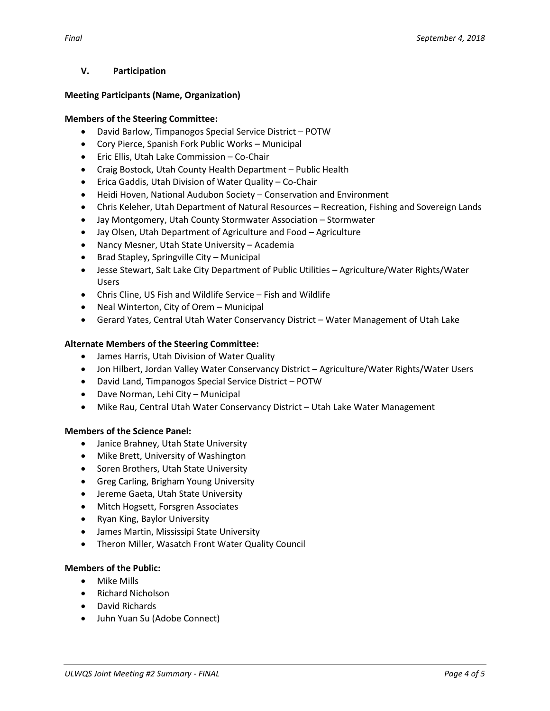## **V. Participation**

#### **Meeting Participants (Name, Organization)**

#### **Members of the Steering Committee:**

- David Barlow, Timpanogos Special Service District POTW
- Cory Pierce, Spanish Fork Public Works Municipal
- Eric Ellis, Utah Lake Commission Co-Chair
- Craig Bostock, Utah County Health Department Public Health
- Erica Gaddis, Utah Division of Water Quality Co-Chair
- Heidi Hoven, National Audubon Society Conservation and Environment
- Chris Keleher, Utah Department of Natural Resources Recreation, Fishing and Sovereign Lands
- Jay Montgomery, Utah County Stormwater Association Stormwater
- Jay Olsen, Utah Department of Agriculture and Food Agriculture
- Nancy Mesner, Utah State University Academia
- Brad Stapley, Springville City Municipal
- Jesse Stewart, Salt Lake City Department of Public Utilities Agriculture/Water Rights/Water Users
- Chris Cline, US Fish and Wildlife Service Fish and Wildlife
- Neal Winterton, City of Orem Municipal
- Gerard Yates, Central Utah Water Conservancy District Water Management of Utah Lake

#### **Alternate Members of the Steering Committee:**

- James Harris, Utah Division of Water Quality
- Jon Hilbert, Jordan Valley Water Conservancy District Agriculture/Water Rights/Water Users
- David Land, Timpanogos Special Service District POTW
- Dave Norman, Lehi City Municipal
- Mike Rau, Central Utah Water Conservancy District Utah Lake Water Management

#### **Members of the Science Panel:**

- Janice Brahney, Utah State University
- Mike Brett, University of Washington
- Soren Brothers, Utah State University
- Greg Carling, Brigham Young University
- Jereme Gaeta, Utah State University
- Mitch Hogsett, Forsgren Associates
- Ryan King, Baylor University
- James Martin, Mississipi State University
- Theron Miller, Wasatch Front Water Quality Council

#### **Members of the Public:**

- Mike Mills
- Richard Nicholson
- David Richards
- Juhn Yuan Su (Adobe Connect)